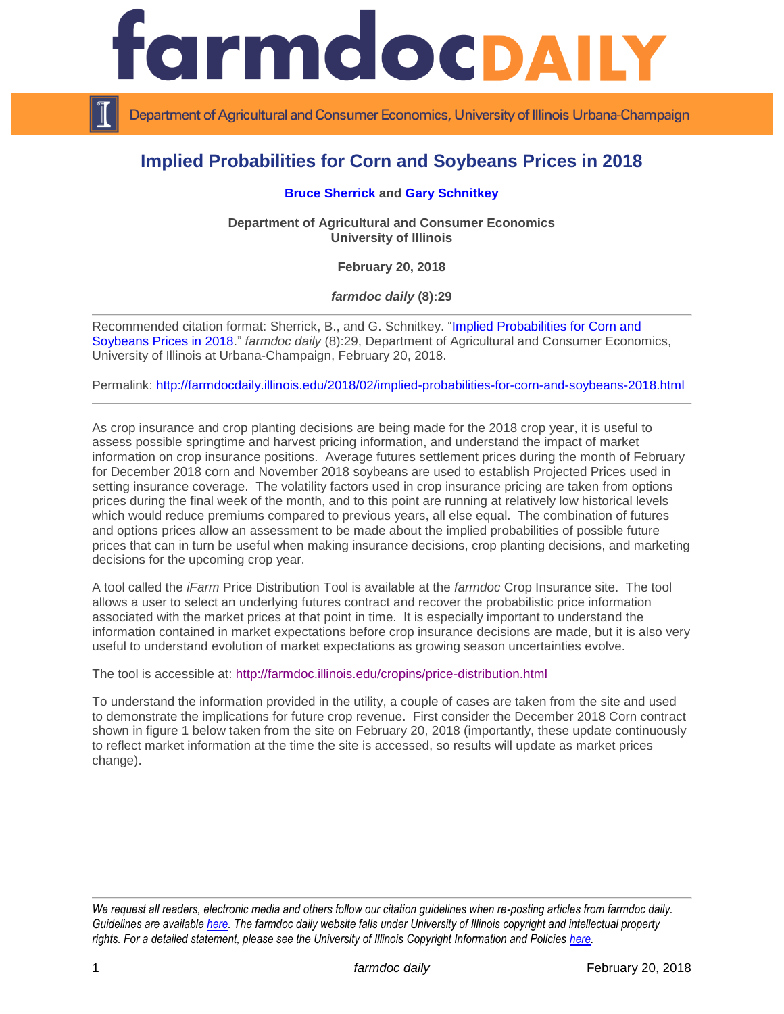

Department of Agricultural and Consumer Economics, University of Illinois Urbana-Champaign

## **Implied Probabilities for Corn and Soybeans Prices in 2018**

## **[Bruce Sherrick](http://farmdoc.illinois.edu/sherrick) and [Gary Schnitkey](http://farmdoc.illinois.edu/schnitkey)**

**Department of Agricultural and Consumer Economics University of Illinois**

**February 20, 2018**

*farmdoc daily* **(8):29**

Recommended citation format: Sherrick, B., and G. Schnitkey. ["Implied Probabilities for Corn and](http://farmdocdaily.illinois.edu/2018/02/implied-probabilities-for-corn-and-soybeans-2018.html)  [Soybeans Prices in 2018.](http://farmdocdaily.illinois.edu/2018/02/implied-probabilities-for-corn-and-soybeans-2018.html)" *farmdoc daily* (8):29, Department of Agricultural and Consumer Economics, University of Illinois at Urbana-Champaign, February 20, 2018.

Permalink:<http://farmdocdaily.illinois.edu/2018/02/implied-probabilities-for-corn-and-soybeans-2018.html>

As crop insurance and crop planting decisions are being made for the 2018 crop year, it is useful to assess possible springtime and harvest pricing information, and understand the impact of market information on crop insurance positions. Average futures settlement prices during the month of February for December 2018 corn and November 2018 soybeans are used to establish Projected Prices used in setting insurance coverage. The volatility factors used in crop insurance pricing are taken from options prices during the final week of the month, and to this point are running at relatively low historical levels which would reduce premiums compared to previous years, all else equal. The combination of futures and options prices allow an assessment to be made about the implied probabilities of possible future prices that can in turn be useful when making insurance decisions, crop planting decisions, and marketing decisions for the upcoming crop year.

A tool called the *iFarm* Price Distribution Tool is available at the *farmdoc* Crop Insurance site. The tool allows a user to select an underlying futures contract and recover the probabilistic price information associated with the market prices at that point in time. It is especially important to understand the information contained in market expectations before crop insurance decisions are made, but it is also very useful to understand evolution of market expectations as growing season uncertainties evolve.

The tool is accessible at:<http://farmdoc.illinois.edu/cropins/price-distribution.html>

To understand the information provided in the utility, a couple of cases are taken from the site and used to demonstrate the implications for future crop revenue. First consider the December 2018 Corn contract shown in figure 1 below taken from the site on February 20, 2018 (importantly, these update continuously to reflect market information at the time the site is accessed, so results will update as market prices change).

*We request all readers, electronic media and others follow our citation guidelines when re-posting articles from farmdoc daily. Guidelines are available [here.](http://farmdocdaily.illinois.edu/citationguide.html) The farmdoc daily website falls under University of Illinois copyright and intellectual property rights. For a detailed statement, please see the University of Illinois Copyright Information and Policies [here.](http://www.cio.illinois.edu/policies/copyright/)*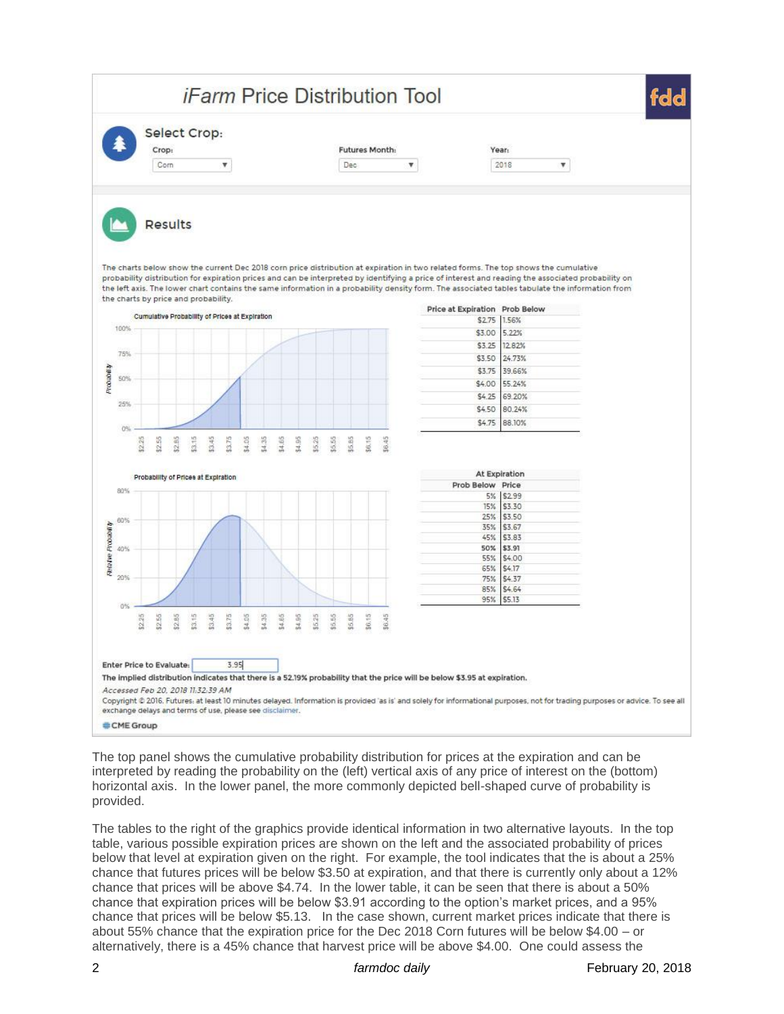

The top panel shows the cumulative probability distribution for prices at the expiration and can be interpreted by reading the probability on the (left) vertical axis of any price of interest on the (bottom) horizontal axis. In the lower panel, the more commonly depicted bell-shaped curve of probability is provided.

The tables to the right of the graphics provide identical information in two alternative layouts. In the top table, various possible expiration prices are shown on the left and the associated probability of prices below that level at expiration given on the right. For example, the tool indicates that the is about a 25% chance that futures prices will be below \$3.50 at expiration, and that there is currently only about a 12% chance that prices will be above \$4.74. In the lower table, it can be seen that there is about a 50% chance that expiration prices will be below \$3.91 according to the option's market prices, and a 95% chance that prices will be below \$5.13. In the case shown, current market prices indicate that there is about 55% chance that the expiration price for the Dec 2018 Corn futures will be below \$4.00 – or alternatively, there is a 45% chance that harvest price will be above \$4.00. One could assess the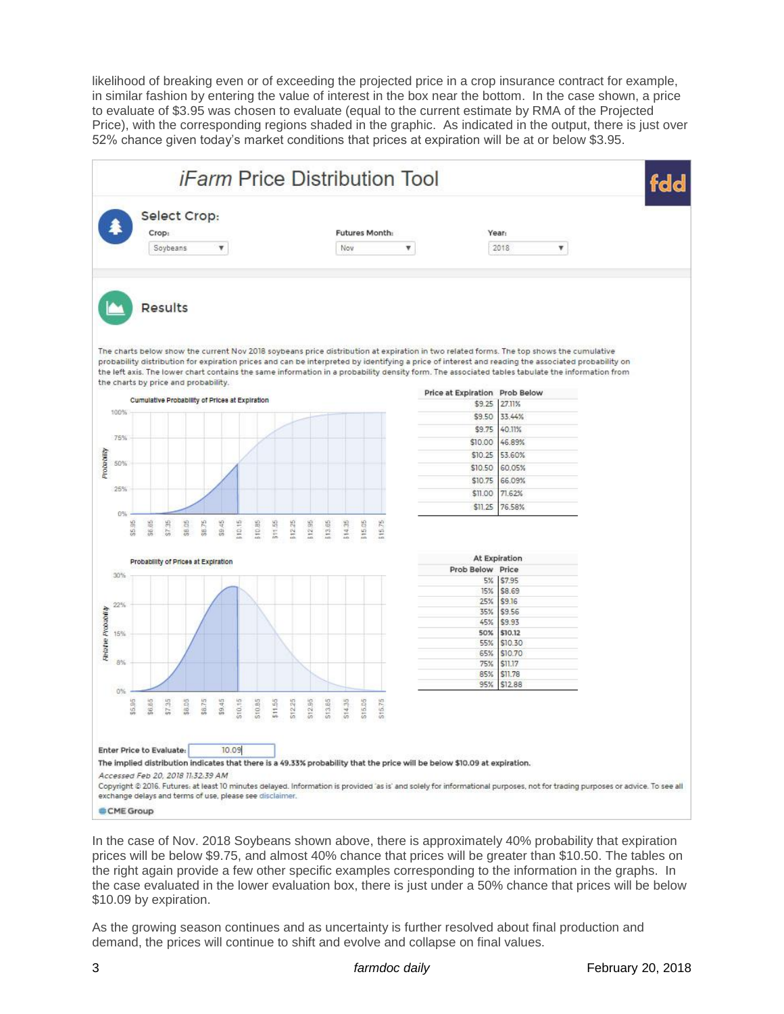likelihood of breaking even or of exceeding the projected price in a crop insurance contract for example, in similar fashion by entering the value of interest in the box near the bottom. In the case shown, a price to evaluate of \$3.95 was chosen to evaluate (equal to the current estimate by RMA of the Projected Price), with the corresponding regions shaded in the graphic. As indicated in the output, there is just over 52% chance given today's market conditions that prices at expiration will be at or below \$3.95.



In the case of Nov. 2018 Soybeans shown above, there is approximately 40% probability that expiration prices will be below \$9.75, and almost 40% chance that prices will be greater than \$10.50. The tables on the right again provide a few other specific examples corresponding to the information in the graphs. In the case evaluated in the lower evaluation box, there is just under a 50% chance that prices will be below \$10.09 by expiration.

As the growing season continues and as uncertainty is further resolved about final production and demand, the prices will continue to shift and evolve and collapse on final values.